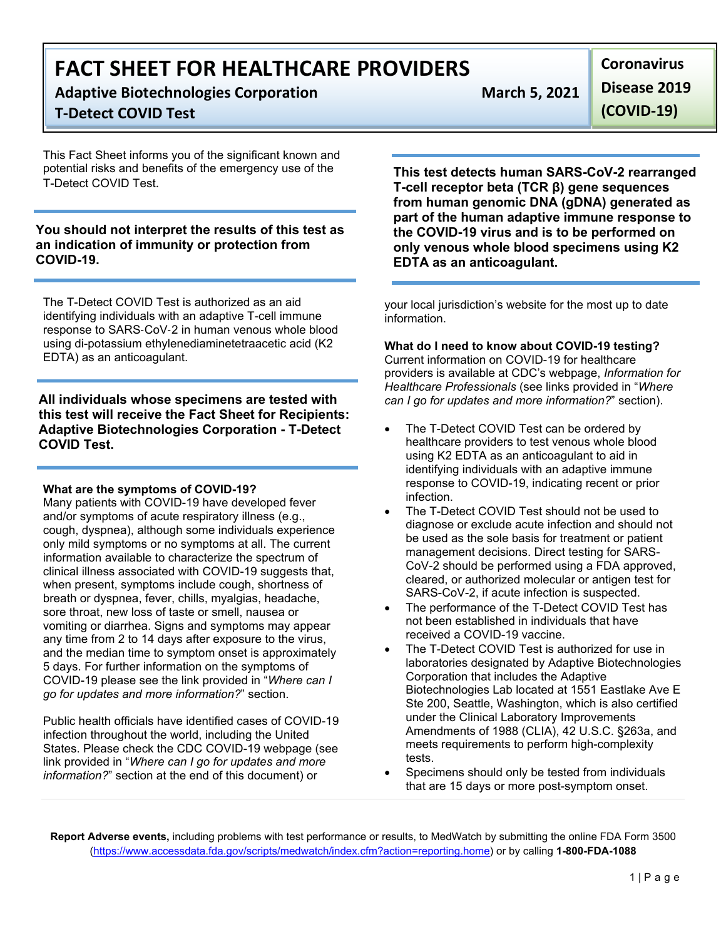**Adaptive Biotechnologies Corporation March 5, 2021 T-Detect COVID Test**

This Fact Sheet informs you of the significant known and potential risks and benefits of the emergency use of the T-Detect COVID Test.

# **You should not interpret the results of this test as an indication of immunity or protection from COVID-19.**

The T-Detect COVID Test is authorized as an aid identifying individuals with an adaptive T-cell immune response to SARS-CoV-2 in human venous whole blood using di-potassium ethylenediaminetetraacetic acid (K2 EDTA) as an anticoagulant.

**All individuals whose specimens are tested with this test will receive the Fact Sheet for Recipients: Adaptive Biotechnologies Corporation - T-Detect COVID Test.**

# **What are the symptoms of COVID-19?**

Many patients with COVID-19 have developed fever and/or symptoms of acute respiratory illness (e.g., cough, dyspnea), although some individuals experience only mild symptoms or no symptoms at all. The current information available to characterize the spectrum of clinical illness associated with COVID-19 suggests that, when present, symptoms include cough, shortness of breath or dyspnea, fever, chills, myalgias, headache, sore throat, new loss of taste or smell, nausea or vomiting or diarrhea. Signs and symptoms may appear any time from 2 to 14 days after exposure to the virus, and the median time to symptom onset is approximately 5 days. For further information on the symptoms of COVID-19 please see the link provided in "*Where can I go for updates and more information?*" section.

Public health officials have identified cases of COVID-19 infection throughout the world, including the United States. Please check the CDC COVID-19 webpage (see link provided in "*Where can I go for updates and more information?*" section at the end of this document) or

**This test detects human SARS-CoV-2 rearranged T-cell receptor beta (TCR β) gene sequences from human genomic DNA (gDNA) generated as part of the human adaptive immune response to the COVID-19 virus and is to be performed on only venous whole blood specimens using K2 EDTA as an anticoagulant.**

your local jurisdiction's website for the most up to date information.

# **What do I need to know about COVID-19 testing?**

Current information on COVID-19 for healthcare providers is available at CDC's webpage, *Information for Healthcare Professionals* (see links provided in "*Where can I go for updates and more information?*" section).

- The T-Detect COVID Test can be ordered by healthcare providers to test venous whole blood using K2 EDTA as an anticoagulant to aid in identifying individuals with an adaptive immune response to COVID-19, indicating recent or prior infection.
- The T-Detect COVID Test should not be used to diagnose or exclude acute infection and should not be used as the sole basis for treatment or patient management decisions. Direct testing for SARS-CoV-2 should be performed using a FDA approved, cleared, or authorized molecular or antigen test for SARS-CoV-2, if acute infection is suspected.
- The performance of the T-Detect COVID Test has not been established in individuals that have received a COVID-19 vaccine.
- The T-Detect COVID Test is authorized for use in laboratories designated by Adaptive Biotechnologies Corporation that includes the Adaptive Biotechnologies Lab located at 1551 Eastlake Ave E Ste 200, Seattle, Washington, which is also certified under the Clinical Laboratory Improvements Amendments of 1988 (CLIA), 42 U.S.C. §263a, and meets requirements to perform high-complexity tests.
- Specimens should only be tested from individuals that are 15 days or more post-symptom onset.

**Report Adverse events,** including problems with test performance or results, to MedWatch by submitting the online FDA Form 3500 (https://www.accessdata.fda.gov/scripts/medwatch/index.cfm?action=reporting.home) or by calling **1-800-FDA-1088**

**Coronavirus Disease 2019 (COVID-19)**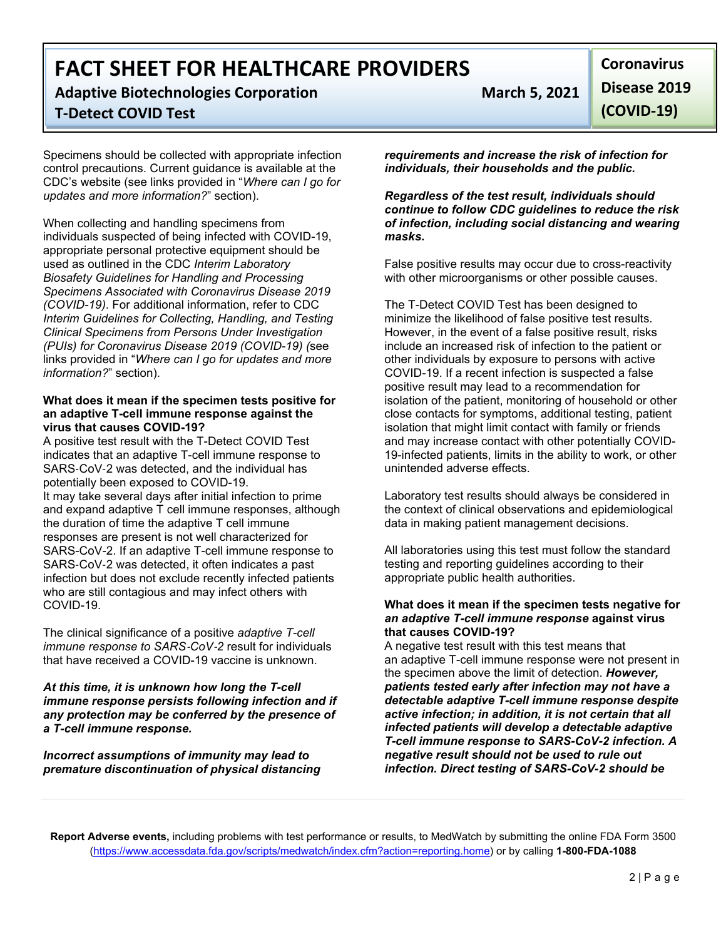**Adaptive Biotechnologies Corporation March 5, 2021 T-Detect COVID Test**

Specimens should be collected with appropriate infection control precautions. Current guidance is available at the CDC's website (see links provided in "*Where can I go for updates and more information?*" section).

When collecting and handling specimens from individuals suspected of being infected with COVID-19, appropriate personal protective equipment should be used as outlined in the CDC *Interim Laboratory Biosafety Guidelines for Handling and Processing Specimens Associated with Coronavirus Disease 2019 (COVID-19)*. For additional information, refer to CDC *Interim Guidelines for Collecting, Handling, and Testing Clinical Specimens from Persons Under Investigation (PUIs) for Coronavirus Disease 2019 (COVID-19) (*see links provided in "*Where can I go for updates and more information?*" section).

#### **What does it mean if the specimen tests positive for an adaptive T-cell immune response against the virus that causes COVID-19?**

A positive test result with the T-Detect COVID Test indicates that an adaptive T-cell immune response to SARS-CoV-2 was detected, and the individual has potentially been exposed to COVID-19. It may take several days after initial infection to prime and expand adaptive T cell immune responses, although the duration of time the adaptive T cell immune responses are present is not well characterized for SARS-CoV-2. If an adaptive T-cell immune response to SARS-CoV-2 was detected, it often indicates a past infection but does not exclude recently infected patients who are still contagious and may infect others with COVID-19.

The clinical significance of a positive *adaptive T-cell immune response to SARS*-*CoV*-*2* result for individuals that have received a COVID-19 vaccine is unknown.

*At this time, it is unknown how long the T-cell immune response persists following infection and if any protection may be conferred by the presence of a T-cell immune response.*

*Incorrect assumptions of immunity may lead to premature discontinuation of physical distancing* 

**Coronavirus Disease 2019 (COVID-19)**

*requirements and increase the risk of infection for individuals, their households and the public.* 

*Regardless of the test result, individuals should continue to follow CDC guidelines to reduce the risk of infection, including social distancing and wearing masks.*

False positive results may occur due to cross-reactivity with other microorganisms or other possible causes.

The T-Detect COVID Test has been designed to minimize the likelihood of false positive test results. However, in the event of a false positive result, risks include an increased risk of infection to the patient or other individuals by exposure to persons with active COVID-19. If a recent infection is suspected a false positive result may lead to a recommendation for isolation of the patient, monitoring of household or other close contacts for symptoms, additional testing, patient isolation that might limit contact with family or friends and may increase contact with other potentially COVID-19-infected patients, limits in the ability to work, or other unintended adverse effects.

Laboratory test results should always be considered in the context of clinical observations and epidemiological data in making patient management decisions.

All laboratories using this test must follow the standard testing and reporting guidelines according to their appropriate public health authorities.

#### **What does it mean if the specimen tests negative for**  *an adaptive T-cell immune response* **against virus that causes COVID-19?**

A negative test result with this test means that an adaptive T-cell immune response were not present in the specimen above the limit of detection. *However, patients tested early after infection may not have a detectable adaptive T-cell immune response despite active infection; in addition, it is not certain that all infected patients will develop a detectable adaptive T-cell immune response to SARS-CoV-2 infection. A negative result should not be used to rule out infection. Direct testing of SARS-CoV-2 should be* 

**Report Adverse events,** including problems with test performance or results, to MedWatch by submitting the online FDA Form 3500 (https://www.accessdata.fda.gov/scripts/medwatch/index.cfm?action=reporting.home) or by calling **1-800-FDA-1088**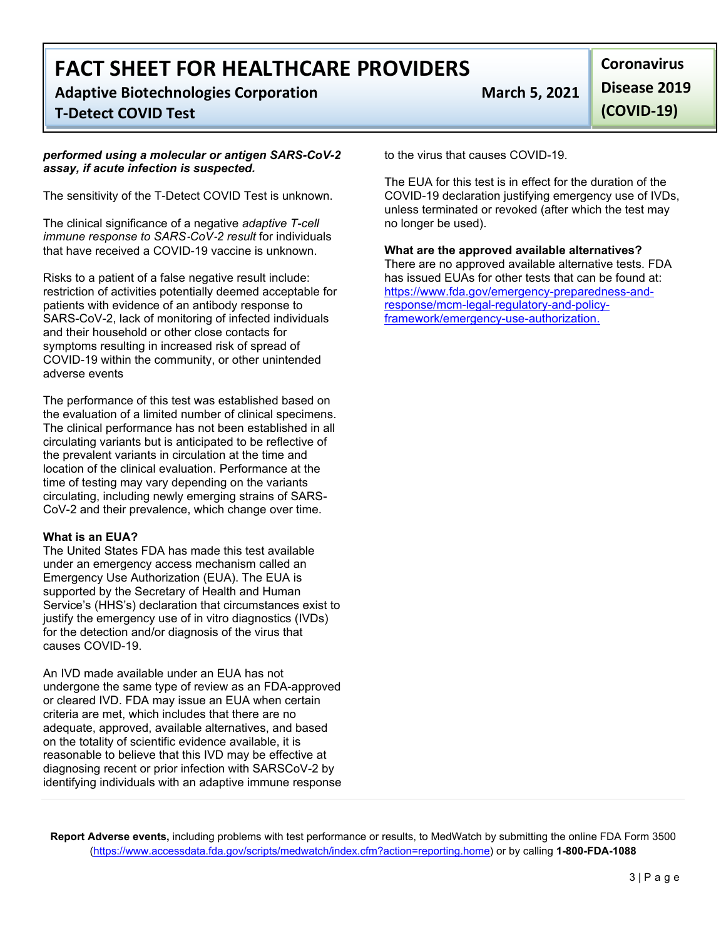**Adaptive Biotechnologies Corporation March 5, 2021**

# **T-Detect COVID Test**

#### *performed using a molecular or antigen SARS-CoV-2 assay, if acute infection is suspected.*

The sensitivity of the T-Detect COVID Test is unknown.

The clinical significance of a negative *adaptive T-cell immune response to SARS*-*CoV*-*2 result* for individuals that have received a COVID-19 vaccine is unknown.

Risks to a patient of a false negative result include: restriction of activities potentially deemed acceptable for patients with evidence of an antibody response to SARS-CoV-2, lack of monitoring of infected individuals and their household or other close contacts for symptoms resulting in increased risk of spread of COVID-19 within the community, or other unintended adverse events

The performance of this test was established based on the evaluation of a limited number of clinical specimens. The clinical performance has not been established in all circulating variants but is anticipated to be reflective of the prevalent variants in circulation at the time and location of the clinical evaluation. Performance at the time of testing may vary depending on the variants circulating, including newly emerging strains of SARS-CoV-2 and their prevalence, which change over time.

# **What is an EUA?**

The United States FDA has made this test available under an emergency access mechanism called an Emergency Use Authorization (EUA). The EUA is supported by the Secretary of Health and Human Service's (HHS's) declaration that circumstances exist to justify the emergency use of in vitro diagnostics (IVDs) for the detection and/or diagnosis of the virus that causes COVID-19.

An IVD made available under an EUA has not undergone the same type of review as an FDA-approved or cleared IVD. FDA may issue an EUA when certain criteria are met, which includes that there are no adequate, approved, available alternatives, and based on the totality of scientific evidence available, it is reasonable to believe that this IVD may be effective at diagnosing recent or prior infection with SARSCoV-2 by identifying individuals with an adaptive immune response

**Coronavirus Disease 2019 (COVID-19)**

to the virus that causes COVID-19.

The EUA for this test is in effect for the duration of the COVID-19 declaration justifying emergency use of IVDs, unless terminated or revoked (after which the test may no longer be used).

**What are the approved available alternatives?** There are no approved available alternative tests. FDA has issued EUAs for other tests that can be found at: https://www.fda.gov/emergency-preparedness-andresponse/mcm-legal-regulatory-and-policyframework/emergency-use-authorization.

**Report Adverse events,** including problems with test performance or results, to MedWatch by submitting the online FDA Form 3500 (https://www.accessdata.fda.gov/scripts/medwatch/index.cfm?action=reporting.home) or by calling **1-800-FDA-1088**